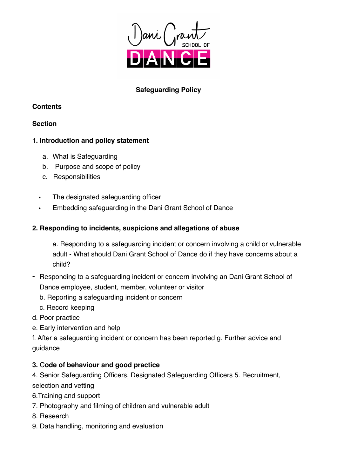

# **Safeguarding Policy**

## **Contents**

# **Section**

# **1. Introduction and policy statement**

- a. What is Safeguarding
- b. Purpose and scope of policy
- c. Responsibilities
- The designated safeguarding officer
- Embedding safeguarding in the Dani Grant School of Dance

# **2. Responding to incidents, suspicions and allegations of abuse**

a. Responding to a safeguarding incident or concern involving a child or vulnerable adult - What should Dani Grant School of Dance do if they have concerns about a child?

- Responding to a safeguarding incident or concern involving an Dani Grant School of Dance employee, student, member, volunteer or visitor
	- b. Reporting a safeguarding incident or concern
	- c. Record keeping
- d. Poor practice
- e. Early intervention and help

f. After a safeguarding incident or concern has been reported g. Further advice and guidance

# **3.** C**ode of behaviour and good practice**

4. Senior Safeguarding Officers, Designated Safeguarding Officers 5. Recruitment, selection and vetting

- 6.Training and support
- 7. Photography and filming of children and vulnerable adult
- 8. Research
- 9. Data handling, monitoring and evaluation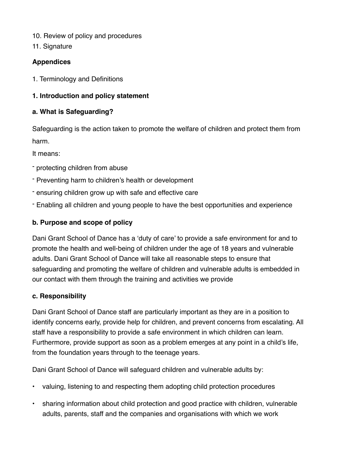- 10. Review of policy and procedures
- 11. Signature

## **Appendices**

1. Terminology and Definitions

## **1. Introduction and policy statement**

## **a. What is Safeguarding?**

Safeguarding is the action taken to promote the welfare of children and protect them from harm.

It means:

- protecting children from abuse
- Preventing harm to children's health or development
- ensuring children grow up with safe and effective care
- Enabling all children and young people to have the best opportunities and experience

# **b. Purpose and scope of policy**

Dani Grant School of Dance has a 'duty of care' to provide a safe environment for and to promote the health and well-being of children under the age of 18 years and vulnerable adults. Dani Grant School of Dance will take all reasonable steps to ensure that safeguarding and promoting the welfare of children and vulnerable adults is embedded in our contact with them through the training and activities we provide

## **c. Responsibility**

Dani Grant School of Dance staff are particularly important as they are in a position to identify concerns early, provide help for children, and prevent concerns from escalating. All staff have a responsibility to provide a safe environment in which children can learn. Furthermore, provide support as soon as a problem emerges at any point in a child's life, from the foundation years through to the teenage years.

Dani Grant School of Dance will safeguard children and vulnerable adults by:

- valuing, listening to and respecting them adopting child protection procedures
- sharing information about child protection and good practice with children, vulnerable adults, parents, staff and the companies and organisations with which we work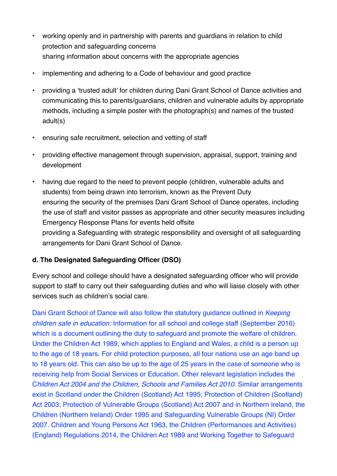- working openly and in partnership with parents and guardians in relation to child protection and safeguarding concerns sharing information about concerns with the appropriate agencies
- implementing and adhering to a Code of behaviour and good practice
- providing a 'trusted adult' for children during Dani Grant School of Dance activities and communicating this to parents/guardians, children and vulnerable adults by appropriate methods, including a simple poster with the photograph(s) and names of the trusted adult(s)
- ensuring safe recruitment, selection and vetting of staff
- providing effective management through supervision, appraisal, support, training and development
- having due regard to the need to prevent people (children, vulnerable adults and students) from being drawn into terrorism, known as the Prevent Duty ensuring the security of the premises Dani Grant School of Dance operates, including the use of staff and visitor passes as appropriate and other security measures including Emergency Response Plans for events held offsite providing a Safeguarding with strategic responsibility and oversight of all safeguarding arrangements for Dani Grant School of Dance.

## **d. The Designated Safeguarding Officer (DSO)**

Every school and college should have a designated safeguarding officer who will provide support to staff to carry out their safeguarding duties and who will liaise closely with other services such as children's social care.

Dani Grant School of Dance will also follow the statutory guidance outlined in *Keeping children safe in education:* Information for all school and college staff (September 2016) which is a document outlining the duty to safeguard and promote the welfare of children. Under the Children Act 1989, which applies to England and Wales, a child is a person up to the age of 18 years. For child protection purposes, all four nations use an age band up to 18 years old. This can also be up to the age of 25 years in the case of someone who is receiving help from Social Services or Education. Other relevant legislation includes the C*hildren Act 2004 and the Children, Schools and Families Act 2010*. Similar arrangements exist in Scotland under the Children (Scotland) Act 1995; Protection of Children (Scotland) Act 2003; Protection of Vulnerable Groups (Scotland) Act 2007 and in Northern Ireland, the Children (Northern Ireland) Order 1995 and Safeguarding Vulnerable Groups (NI) Order 2007. Children and Young Persons Act 1963, the Children (Performances and Activities) (England) Regulations 2014, the Children Act 1989 and Working Together to Safeguard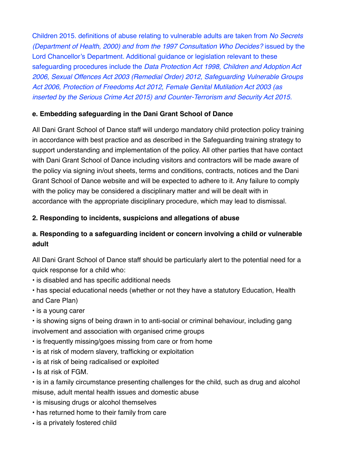Children 2015. definitions of abuse relating to vulnerable adults are taken from *No Secrets (Department of Health, 2000) and from the 1997 Consultation Who Decides?* issued by the Lord Chancellor's Department. Additional guidance or legislation relevant to these safeguarding procedures include the *Data Protection Act 1998, Children and Adoption Act 2006, Sexual Offences Act 2003 (Remedial Order) 2012, Safeguarding Vulnerable Groups Act 2006, Protection of Freedoms Act 2012, Female Genital Mutilation Act 2003 (as inserted by the Serious Crime Act 2015) and Counter-Terrorism and Security Act 2015.* 

## **e. Embedding safeguarding in the Dani Grant School of Dance**

All Dani Grant School of Dance staff will undergo mandatory child protection policy training in accordance with best practice and as described in the Safeguarding training strategy to support understanding and implementation of the policy. All other parties that have contact with Dani Grant School of Dance including visitors and contractors will be made aware of the policy via signing in/out sheets, terms and conditions, contracts, notices and the Dani Grant School of Dance website and will be expected to adhere to it. Any failure to comply with the policy may be considered a disciplinary matter and will be dealt with in accordance with the appropriate disciplinary procedure, which may lead to dismissal.

## **2. Responding to incidents, suspicions and allegations of abuse**

# **a. Responding to a safeguarding incident or concern involving a child or vulnerable adult**

All Dani Grant School of Dance staff should be particularly alert to the potential need for a quick response for a child who:

• is disabled and has specific additional needs

• has special educational needs (whether or not they have a statutory Education, Health and Care Plan)

• is a young carer

• is showing signs of being drawn in to anti-social or criminal behaviour, including gang involvement and association with organised crime groups

- is frequently missing/goes missing from care or from home
- is at risk of modern slavery, trafficking or exploitation
- is at risk of being radicalised or exploited

• Is at risk of FGM.

• is in a family circumstance presenting challenges for the child, such as drug and alcohol misuse, adult mental health issues and domestic abuse

• is misusing drugs or alcohol themselves

- has returned home to their family from care
- is a privately fostered child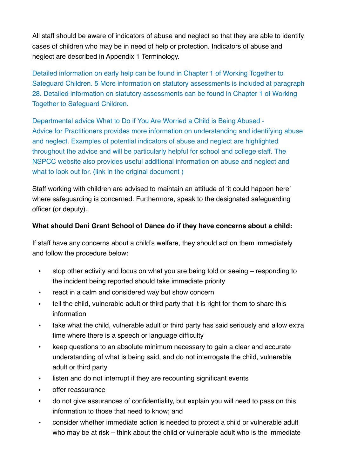All staff should be aware of indicators of abuse and neglect so that they are able to identify cases of children who may be in need of help or protection. Indicators of abuse and neglect are described in Appendix 1 Terminology.

Detailed information on early help can be found in Chapter 1 of Working Together to Safeguard Children. 5 More information on statutory assessments is included at paragraph 28. Detailed information on statutory assessments can be found in Chapter 1 of Working Together to Safeguard Children.

Departmental advice What to Do if You Are Worried a Child is Being Abused - Advice for Practitioners provides more information on understanding and identifying abuse and neglect. Examples of potential indicators of abuse and neglect are highlighted throughout the advice and will be particularly helpful for school and college staff. The NSPCC website also provides useful additional information on abuse and neglect and what to look out for. (link in the original document)

Staff working with children are advised to maintain an attitude of 'it could happen here' where safeguarding is concerned. Furthermore, speak to the designated safeguarding officer (or deputy).

#### **What should Dani Grant School of Dance do if they have concerns about a child:**

If staff have any concerns about a child's welfare, they should act on them immediately and follow the procedure below:

- stop other activity and focus on what you are being told or seeing responding to the incident being reported should take immediate priority
- react in a calm and considered way but show concern
- tell the child, vulnerable adult or third party that it is right for them to share this information
- take what the child, vulnerable adult or third party has said seriously and allow extra time where there is a speech or language difficulty
- keep questions to an absolute minimum necessary to gain a clear and accurate understanding of what is being said, and do not interrogate the child, vulnerable adult or third party
- listen and do not interrupt if they are recounting significant events
- offer reassurance
- do not give assurances of confidentiality, but explain you will need to pass on this information to those that need to know; and
- consider whether immediate action is needed to protect a child or vulnerable adult who may be at risk – think about the child or vulnerable adult who is the immediate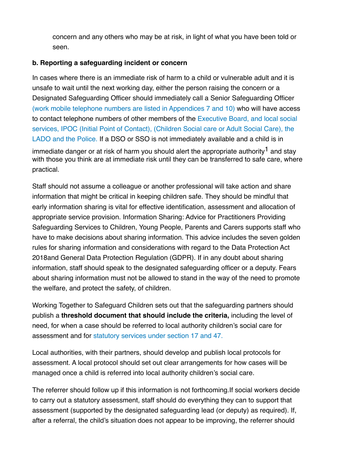concern and any others who may be at risk, in light of what you have been told or seen.

#### **b. Reporting a safeguarding incident or concern**

In cases where there is an immediate risk of harm to a child or vulnerable adult and it is unsafe to wait until the next working day, either the person raising the concern or a Designated Safeguarding Officer should immediately call a Senior Safeguarding Officer (work mobile telephone numbers are listed in Appendices 7 and 10) who will have access to contact telephone numbers of other members of the Executive Board, and local social services, IPOC (Initial Point of Contact), (Children Social care or Adult Social Care), the LADO and the Police. If a DSO or SSO is not immediately available and a child is in immediate danger or at risk of harm you should alert the appropriate authority<sup>1</sup> and stay with those you think are at immediate risk until they can be transferred to safe care, where practical.

Staff should not assume a colleague or another professional will take action and share information that might be critical in keeping children safe. They should be mindful that early information sharing is vital for effective identification, assessment and allocation of appropriate service provision. Information Sharing: Advice for Practitioners Providing Safeguarding Services to Children, Young People, Parents and Carers supports staff who have to make decisions about sharing information. This advice includes the seven golden rules for sharing information and considerations with regard to the Data Protection Act 2018and General Data Protection Regulation (GDPR). If in any doubt about sharing information, staff should speak to the designated safeguarding officer or a deputy. Fears about sharing information must not be allowed to stand in the way of the need to promote the welfare, and protect the safety, of children.

Working Together to Safeguard Children sets out that the safeguarding partners should publish a **threshold document that should include the criteria,** including the level of need, for when a case should be referred to local authority children's social care for assessment and for statutory services under section 17 and 47.

Local authorities, with their partners, should develop and publish local protocols for assessment. A local protocol should set out clear arrangements for how cases will be managed once a child is referred into local authority children's social care.

The referrer should follow up if this information is not forthcoming.If social workers decide to carry out a statutory assessment, staff should do everything they can to support that assessment (supported by the designated safeguarding lead (or deputy) as required). If, after a referral, the child's situation does not appear to be improving, the referrer should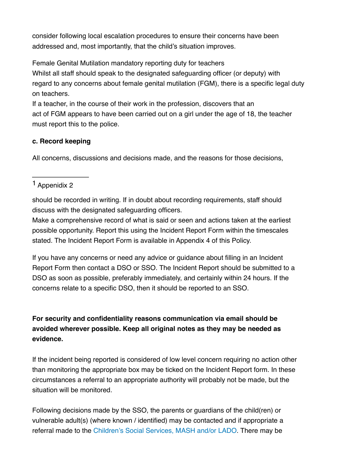consider following local escalation procedures to ensure their concerns have been addressed and, most importantly, that the child's situation improves.

Female Genital Mutilation mandatory reporting duty for teachers

Whilst all staff should speak to the designated safeguarding officer (or deputy) with regard to any concerns about female genital mutilation (FGM), there is a specific legal duty on teachers.

If a teacher, in the course of their work in the profession, discovers that an act of FGM appears to have been carried out on a girl under the age of 18, the teacher must report this to the police.

# **c. Record keeping**

All concerns, discussions and decisions made, and the reasons for those decisions,

# 1 Appenidix 2

should be recorded in writing. If in doubt about recording requirements, staff should discuss with the designated safeguarding officers.

Make a comprehensive record of what is said or seen and actions taken at the earliest possible opportunity. Report this using the Incident Report Form within the timescales stated. The Incident Report Form is available in Appendix 4 of this Policy.

If you have any concerns or need any advice or guidance about filling in an Incident Report Form then contact a DSO or SSO. The Incident Report should be submitted to a DSO as soon as possible, preferably immediately, and certainly within 24 hours. If the concerns relate to a specific DSO, then it should be reported to an SSO.

# **For security and confidentiality reasons communication via email should be avoided wherever possible. Keep all original notes as they may be needed as evidence.**

If the incident being reported is considered of low level concern requiring no action other than monitoring the appropriate box may be ticked on the Incident Report form. In these circumstances a referral to an appropriate authority will probably not be made, but the situation will be monitored.

Following decisions made by the SSO, the parents or guardians of the child(ren) or vulnerable adult(s) (where known / identified) may be contacted and if appropriate a referral made to the Children's Social Services, MASH and/or LADO. There may be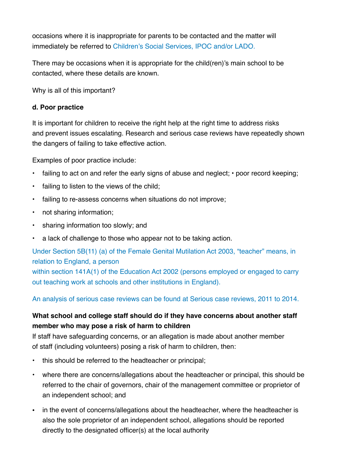occasions where it is inappropriate for parents to be contacted and the matter will immediately be referred to Children's Social Services, IPOC and/or LADO.

There may be occasions when it is appropriate for the child(ren)'s main school to be contacted, where these details are known.

Why is all of this important?

#### **d. Poor practice**

It is important for children to receive the right help at the right time to address risks and prevent issues escalating. Research and serious case reviews have repeatedly shown the dangers of failing to take effective action.

Examples of poor practice include:

- failing to act on and refer the early signs of abuse and neglect; poor record keeping;
- failing to listen to the views of the child;
- failing to re-assess concerns when situations do not improve;
- not sharing information;
- sharing information too slowly; and
- a lack of challenge to those who appear not to be taking action.

Under Section 5B(11) (a) of the Female Genital Mutilation Act 2003, "teacher" means, in relation to England, a person

within section 141A(1) of the Education Act 2002 (persons employed or engaged to carry out teaching work at schools and other institutions in England).

An analysis of serious case reviews can be found at Serious case reviews, 2011 to 2014.

# **What school and college staff should do if they have concerns about another staff member who may pose a risk of harm to children**

If staff have safeguarding concerns, or an allegation is made about another member of staff (including volunteers) posing a risk of harm to children, then:

- this should be referred to the headteacher or principal;
- where there are concerns/allegations about the headteacher or principal, this should be referred to the chair of governors, chair of the management committee or proprietor of an independent school; and
- in the event of concerns/allegations about the headteacher, where the headteacher is also the sole proprietor of an independent school, allegations should be reported directly to the designated officer(s) at the local authority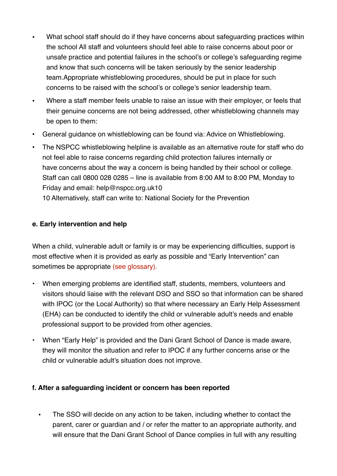- What school staff should do if they have concerns about safeguarding practices within the school All staff and volunteers should feel able to raise concerns about poor or unsafe practice and potential failures in the school's or college's safeguarding regime and know that such concerns will be taken seriously by the senior leadership team.Appropriate whistleblowing procedures, should be put in place for such concerns to be raised with the school's or college's senior leadership team.
- Where a staff member feels unable to raise an issue with their employer, or feels that their genuine concerns are not being addressed, other whistleblowing channels may be open to them:
- General guidance on whistleblowing can be found via: Advice on Whistleblowing.
- The NSPCC whistleblowing helpline is available as an alternative route for staff who do not feel able to raise concerns regarding child protection failures internally or have concerns about the way a concern is being handled by their school or college. Staff can call 0800 028 0285 – line is available from 8:00 AM to 8:00 PM, Monday to Friday and email: help@nspcc.org.uk10 10 Alternatively, staff can write to: National Society for the Prevention

#### **e. Early intervention and help**

When a child, vulnerable adult or family is or may be experiencing difficulties, support is most effective when it is provided as early as possible and "Early Intervention" can sometimes be appropriate (see glossary).

- When emerging problems are identified staff, students, members, volunteers and visitors should liaise with the relevant DSO and SSO so that information can be shared with IPOC (or the Local Authority) so that where necessary an Early Help Assessment (EHA) can be conducted to identify the child or vulnerable adult's needs and enable professional support to be provided from other agencies.
- When "Early Help" is provided and the Dani Grant School of Dance is made aware, they will monitor the situation and refer to IPOC if any further concerns arise or the child or vulnerable adult's situation does not improve.

#### **f. After a safeguarding incident or concern has been reported**

• The SSO will decide on any action to be taken, including whether to contact the parent, carer or guardian and / or refer the matter to an appropriate authority, and will ensure that the Dani Grant School of Dance complies in full with any resulting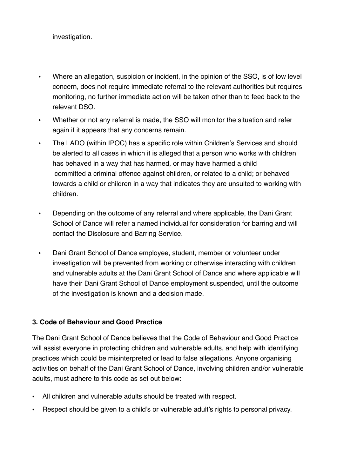investigation.

- Where an allegation, suspicion or incident, in the opinion of the SSO, is of low level concern, does not require immediate referral to the relevant authorities but requires monitoring, no further immediate action will be taken other than to feed back to the relevant DSO.
- Whether or not any referral is made, the SSO will monitor the situation and refer again if it appears that any concerns remain.
- The LADO (within IPOC) has a specific role within Children's Services and should be alerted to all cases in which it is alleged that a person who works with children has behaved in a way that has harmed, or may have harmed a child committed a criminal offence against children, or related to a child; or behaved towards a child or children in a way that indicates they are unsuited to working with children.
- Depending on the outcome of any referral and where applicable, the Dani Grant School of Dance will refer a named individual for consideration for barring and will contact the Disclosure and Barring Service.
- Dani Grant School of Dance employee, student, member or volunteer under investigation will be prevented from working or otherwise interacting with children and vulnerable adults at the Dani Grant School of Dance and where applicable will have their Dani Grant School of Dance employment suspended, until the outcome of the investigation is known and a decision made.

## **3. Code of Behaviour and Good Practice**

The Dani Grant School of Dance believes that the Code of Behaviour and Good Practice will assist everyone in protecting children and vulnerable adults, and help with identifying practices which could be misinterpreted or lead to false allegations. Anyone organising activities on behalf of the Dani Grant School of Dance, involving children and/or vulnerable adults, must adhere to this code as set out below:

- All children and vulnerable adults should be treated with respect.
- Respect should be given to a child's or vulnerable adult's rights to personal privacy.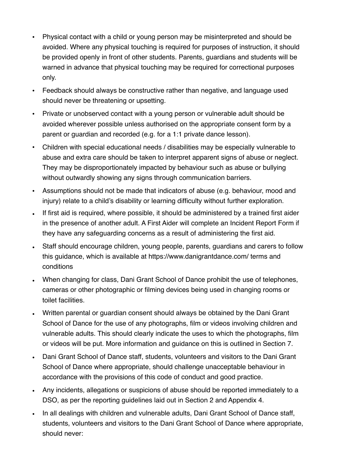- Physical contact with a child or young person may be misinterpreted and should be avoided. Where any physical touching is required for purposes of instruction, it should be provided openly in front of other students. Parents, guardians and students will be warned in advance that physical touching may be required for correctional purposes only.
- Feedback should always be constructive rather than negative, and language used should never be threatening or upsetting.
- Private or unobserved contact with a young person or vulnerable adult should be avoided wherever possible unless authorised on the appropriate consent form by a parent or guardian and recorded (e.g. for a 1:1 private dance lesson).
- Children with special educational needs / disabilities may be especially vulnerable to abuse and extra care should be taken to interpret apparent signs of abuse or neglect. They may be disproportionately impacted by behaviour such as abuse or bullying without outwardly showing any signs through communication barriers.
- Assumptions should not be made that indicators of abuse (e.g. behaviour, mood and injury) relate to a child's disability or learning difficulty without further exploration.
- If first aid is required, where possible, it should be administered by a trained first aider in the presence of another adult. A First Aider will complete an Incident Report Form if they have any safeguarding concerns as a result of administering the first aid.
- Staff should encourage children, young people, parents, guardians and carers to follow this guidance, which is available at https://www.danigrantdance.com/ terms and conditions
- When changing for class, Dani Grant School of Dance prohibit the use of telephones, cameras or other photographic or filming devices being used in changing rooms or toilet facilities.
- Written parental or guardian consent should always be obtained by the Dani Grant School of Dance for the use of any photographs, film or videos involving children and vulnerable adults. This should clearly indicate the uses to which the photographs, film or videos will be put. More information and guidance on this is outlined in Section 7.
- Dani Grant School of Dance staff, students, volunteers and visitors to the Dani Grant School of Dance where appropriate, should challenge unacceptable behaviour in accordance with the provisions of this code of conduct and good practice.
- Any incidents, allegations or suspicions of abuse should be reported immediately to a DSO, as per the reporting guidelines laid out in Section 2 and Appendix 4.
- In all dealings with children and vulnerable adults, Dani Grant School of Dance staff, students, volunteers and visitors to the Dani Grant School of Dance where appropriate, should never: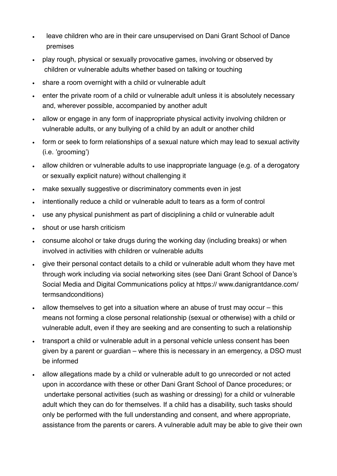- leave children who are in their care unsupervised on Dani Grant School of Dance premises
- play rough, physical or sexually provocative games, involving or observed by children or vulnerable adults whether based on talking or touching
- share a room overnight with a child or vulnerable adult
- enter the private room of a child or vulnerable adult unless it is absolutely necessary and, wherever possible, accompanied by another adult
- allow or engage in any form of inappropriate physical activity involving children or vulnerable adults, or any bullying of a child by an adult or another child
- form or seek to form relationships of a sexual nature which may lead to sexual activity (i.e. 'grooming')
- allow children or vulnerable adults to use inappropriate language (e.g. of a derogatory or sexually explicit nature) without challenging it
- make sexually suggestive or discriminatory comments even in jest
- intentionally reduce a child or vulnerable adult to tears as a form of control
- use any physical punishment as part of disciplining a child or vulnerable adult
- shout or use harsh criticism
- consume alcohol or take drugs during the working day (including breaks) or when involved in activities with children or vulnerable adults
- give their personal contact details to a child or vulnerable adult whom they have met through work including via social networking sites (see Dani Grant School of Dance's Social Media and Digital Communications policy at https:// www.danigrantdance.com/ termsandconditions)
- allow themselves to get into a situation where an abuse of trust may occur this means not forming a close personal relationship (sexual or otherwise) with a child or vulnerable adult, even if they are seeking and are consenting to such a relationship
- transport a child or vulnerable adult in a personal vehicle unless consent has been given by a parent or guardian – where this is necessary in an emergency, a DSO must be informed
- allow allegations made by a child or vulnerable adult to go unrecorded or not acted upon in accordance with these or other Dani Grant School of Dance procedures; or undertake personal activities (such as washing or dressing) for a child or vulnerable adult which they can do for themselves. If a child has a disability, such tasks should only be performed with the full understanding and consent, and where appropriate, assistance from the parents or carers. A vulnerable adult may be able to give their own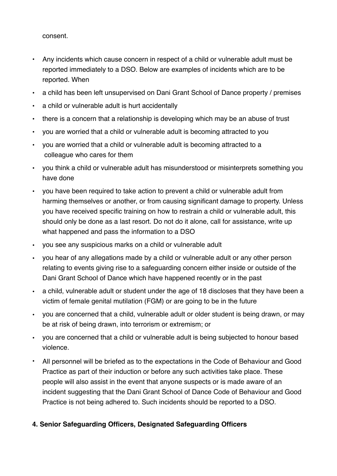consent.

- Any incidents which cause concern in respect of a child or vulnerable adult must be reported immediately to a DSO. Below are examples of incidents which are to be reported. When
- a child has been left unsupervised on Dani Grant School of Dance property / premises
- a child or vulnerable adult is hurt accidentally
- there is a concern that a relationship is developing which may be an abuse of trust
- you are worried that a child or vulnerable adult is becoming attracted to you
- you are worried that a child or vulnerable adult is becoming attracted to a colleague who cares for them
- you think a child or vulnerable adult has misunderstood or misinterprets something you have done
- you have been required to take action to prevent a child or vulnerable adult from harming themselves or another, or from causing significant damage to property. Unless you have received specific training on how to restrain a child or vulnerable adult, this should only be done as a last resort. Do not do it alone, call for assistance, write up what happened and pass the information to a DSO
- you see any suspicious marks on a child or vulnerable adult
- you hear of any allegations made by a child or vulnerable adult or any other person relating to events giving rise to a safeguarding concern either inside or outside of the Dani Grant School of Dance which have happened recently or in the past
- a child, vulnerable adult or student under the age of 18 discloses that they have been a victim of female genital mutilation (FGM) or are going to be in the future
- you are concerned that a child, vulnerable adult or older student is being drawn, or may be at risk of being drawn, into terrorism or extremism; or
- you are concerned that a child or vulnerable adult is being subjected to honour based violence.
- All personnel will be briefed as to the expectations in the Code of Behaviour and Good Practice as part of their induction or before any such activities take place. These people will also assist in the event that anyone suspects or is made aware of an incident suggesting that the Dani Grant School of Dance Code of Behaviour and Good Practice is not being adhered to. Such incidents should be reported to a DSO.

## **4. Senior Safeguarding Officers, Designated Safeguarding Officers**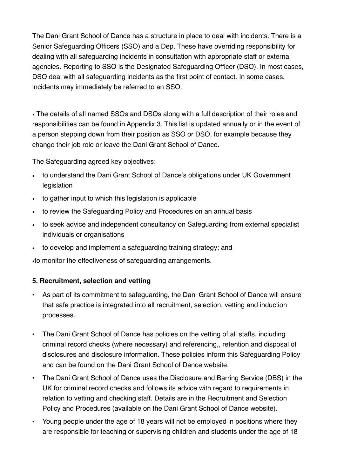The Dani Grant School of Dance has a structure in place to deal with incidents. There is a Senior Safeguarding Officers (SSO) and a Dep. These have overriding responsibility for dealing with all safeguarding incidents in consultation with appropriate staff or external agencies. Reporting to SSO is the Designated Safeguarding Officer (DSO). In most cases, DSO deal with all safeguarding incidents as the first point of contact. In some cases, incidents may immediately be referred to an SSO.

• The details of all named SSOs and DSOs along with a full description of their roles and responsibilities can be found in Appendix 3. This list is updated annually or in the event of a person stepping down from their position as SSO or DSO, for example because they change their job role or leave the Dani Grant School of Dance.

The Safeguarding agreed key objectives:

- to understand the Dani Grant School of Dance's obligations under UK Government legislation
- to gather input to which this legislation is applicable
- to review the Safeguarding Policy and Procedures on an annual basis
- to seek advice and independent consultancy on Safeguarding from external specialist individuals or organisations
- to develop and implement a safeguarding training strategy; and

•to monitor the effectiveness of safeguarding arrangements.

## **5. Recruitment, selection and vetting**

- As part of its commitment to safeguarding, the Dani Grant School of Dance will ensure that safe practice is integrated into all recruitment, selection, vetting and induction processes.
- The Dani Grant School of Dance has policies on the vetting of all staffs, including criminal record checks (where necessary) and referencing,, retention and disposal of disclosures and disclosure information. These policies inform this Safeguarding Policy and can be found on the Dani Grant School of Dance website.
- The Dani Grant School of Dance uses the Disclosure and Barring Service (DBS) in the UK for criminal record checks and follows its advice with regard to requirements in relation to vetting and checking staff. Details are in the Recruitment and Selection Policy and Procedures (available on the Dani Grant School of Dance website).
- Young people under the age of 18 years will not be employed in positions where they are responsible for teaching or supervising children and students under the age of 18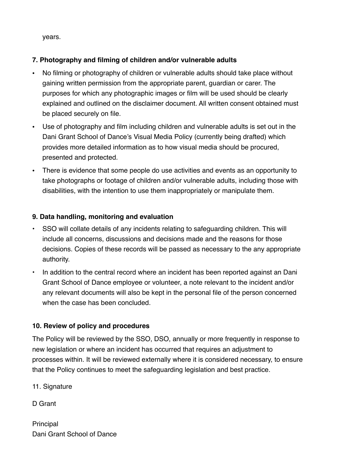years.

## **7. Photography and filming of children and/or vulnerable adults**

- No filming or photography of children or vulnerable adults should take place without gaining written permission from the appropriate parent, guardian or carer. The purposes for which any photographic images or film will be used should be clearly explained and outlined on the disclaimer document. All written consent obtained must be placed securely on file.
- Use of photography and film including children and vulnerable adults is set out in the Dani Grant School of Dance's Visual Media Policy (currently being drafted) which provides more detailed information as to how visual media should be procured, presented and protected.
- There is evidence that some people do use activities and events as an opportunity to take photographs or footage of children and/or vulnerable adults, including those with disabilities, with the intention to use them inappropriately or manipulate them.

## **9. Data handling, monitoring and evaluation**

- SSO will collate details of any incidents relating to safeguarding children. This will include all concerns, discussions and decisions made and the reasons for those decisions. Copies of these records will be passed as necessary to the any appropriate authority.
- In addition to the central record where an incident has been reported against an Dani Grant School of Dance employee or volunteer, a note relevant to the incident and/or any relevant documents will also be kept in the personal file of the person concerned when the case has been concluded.

## **10. Review of policy and procedures**

The Policy will be reviewed by the SSO, DSO, annually or more frequently in response to new legislation or where an incident has occurred that requires an adjustment to processes within. It will be reviewed externally where it is considered necessary, to ensure that the Policy continues to meet the safeguarding legislation and best practice.

11. Signature

D Grant

**Principal** Dani Grant School of Dance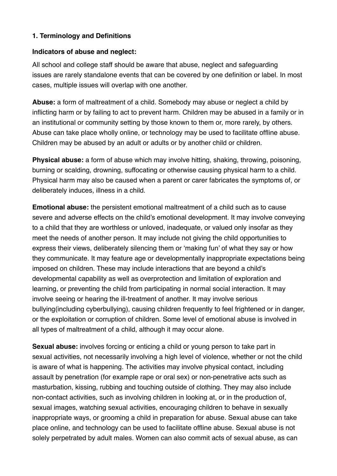#### **1. Terminology and Definitions**

#### **Indicators of abuse and neglect:**

All school and college staff should be aware that abuse, neglect and safeguarding issues are rarely standalone events that can be covered by one definition or label. In most cases, multiple issues will overlap with one another.

**Abuse:** a form of maltreatment of a child. Somebody may abuse or neglect a child by inflicting harm or by failing to act to prevent harm. Children may be abused in a family or in an institutional or community setting by those known to them or, more rarely, by others. Abuse can take place wholly online, or technology may be used to facilitate offline abuse. Children may be abused by an adult or adults or by another child or children.

**Physical abuse:** a form of abuse which may involve hitting, shaking, throwing, poisoning, burning or scalding, drowning, suffocating or otherwise causing physical harm to a child. Physical harm may also be caused when a parent or carer fabricates the symptoms of, or deliberately induces, illness in a child.

**Emotional abuse:** the persistent emotional maltreatment of a child such as to cause severe and adverse effects on the child's emotional development. It may involve conveying to a child that they are worthless or unloved, inadequate, or valued only insofar as they meet the needs of another person. It may include not giving the child opportunities to express their views, deliberately silencing them or 'making fun' of what they say or how they communicate. It may feature age or developmentally inappropriate expectations being imposed on children. These may include interactions that are beyond a child's developmental capability as well as overprotection and limitation of exploration and learning, or preventing the child from participating in normal social interaction. It may involve seeing or hearing the ill-treatment of another. It may involve serious bullying(including cyberbullying), causing children frequently to feel frightened or in danger, or the exploitation or corruption of children. Some level of emotional abuse is involved in all types of maltreatment of a child, although it may occur alone.

**Sexual abuse:** involves forcing or enticing a child or young person to take part in sexual activities, not necessarily involving a high level of violence, whether or not the child is aware of what is happening. The activities may involve physical contact, including assault by penetration (for example rape or oral sex) or non-penetrative acts such as masturbation, kissing, rubbing and touching outside of clothing. They may also include non-contact activities, such as involving children in looking at, or in the production of, sexual images, watching sexual activities, encouraging children to behave in sexually inappropriate ways, or grooming a child in preparation for abuse. Sexual abuse can take place online, and technology can be used to facilitate offline abuse. Sexual abuse is not solely perpetrated by adult males. Women can also commit acts of sexual abuse, as can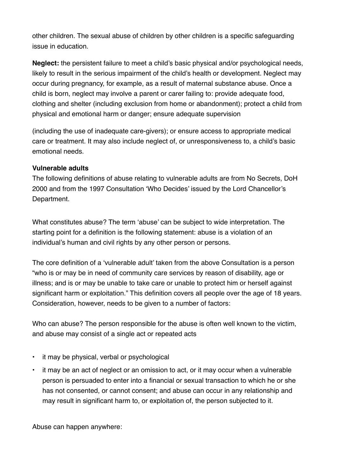other children. The sexual abuse of children by other children is a specific safeguarding issue in education.

**Neglect:** the persistent failure to meet a child's basic physical and/or psychological needs, likely to result in the serious impairment of the child's health or development. Neglect may occur during pregnancy, for example, as a result of maternal substance abuse. Once a child is born, neglect may involve a parent or carer failing to: provide adequate food, clothing and shelter (including exclusion from home or abandonment); protect a child from physical and emotional harm or danger; ensure adequate supervision

(including the use of inadequate care-givers); or ensure access to appropriate medical care or treatment. It may also include neglect of, or unresponsiveness to, a child's basic emotional needs.

#### **Vulnerable adults**

The following definitions of abuse relating to vulnerable adults are from No Secrets, DoH 2000 and from the 1997 Consultation 'Who Decides' issued by the Lord Chancellor's Department.

What constitutes abuse? The term 'abuse' can be subject to wide interpretation. The starting point for a definition is the following statement: abuse is a violation of an individual's human and civil rights by any other person or persons.

The core definition of a 'vulnerable adult' taken from the above Consultation is a person "who is or may be in need of community care services by reason of disability, age or illness; and is or may be unable to take care or unable to protect him or herself against significant harm or exploitation." This definition covers all people over the age of 18 years. Consideration, however, needs to be given to a number of factors:

Who can abuse? The person responsible for the abuse is often well known to the victim, and abuse may consist of a single act or repeated acts

- it may be physical, verbal or psychological
- it may be an act of neglect or an omission to act, or it may occur when a vulnerable person is persuaded to enter into a financial or sexual transaction to which he or she has not consented, or cannot consent; and abuse can occur in any relationship and may result in significant harm to, or exploitation of, the person subjected to it.

Abuse can happen anywhere: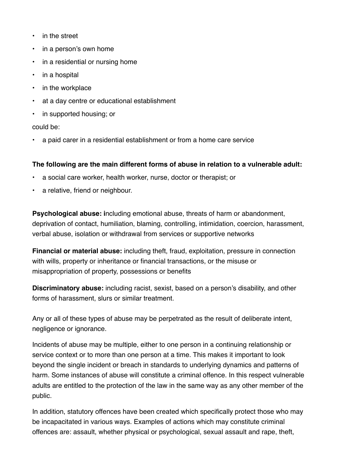- in the street
- in a person's own home
- in a residential or nursing home
- in a hospital
- in the workplace
- at a day centre or educational establishment
- in supported housing; or

could be:

• a paid carer in a residential establishment or from a home care service

#### **The following are the main different forms of abuse in relation to a vulnerable adult:**

- a social care worker, health worker, nurse, doctor or therapist; or
- a relative, friend or neighbour.

**Psychological abuse: i**ncluding emotional abuse, threats of harm or abandonment, deprivation of contact, humiliation, blaming, controlling, intimidation, coercion, harassment, verbal abuse, isolation or withdrawal from services or supportive networks

**Financial or material abuse:** including theft, fraud, exploitation, pressure in connection with wills, property or inheritance or financial transactions, or the misuse or misappropriation of property, possessions or benefits

**Discriminatory abuse:** including racist, sexist, based on a person's disability, and other forms of harassment, slurs or similar treatment.

Any or all of these types of abuse may be perpetrated as the result of deliberate intent, negligence or ignorance.

Incidents of abuse may be multiple, either to one person in a continuing relationship or service context or to more than one person at a time. This makes it important to look beyond the single incident or breach in standards to underlying dynamics and patterns of harm. Some instances of abuse will constitute a criminal offence. In this respect vulnerable adults are entitled to the protection of the law in the same way as any other member of the public.

In addition, statutory offences have been created which specifically protect those who may be incapacitated in various ways. Examples of actions which may constitute criminal offences are: assault, whether physical or psychological, sexual assault and rape, theft,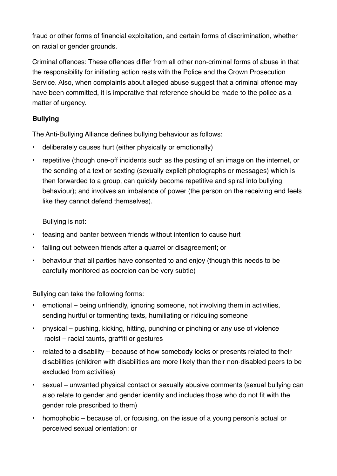fraud or other forms of financial exploitation, and certain forms of discrimination, whether on racial or gender grounds.

Criminal offences: These offences differ from all other non-criminal forms of abuse in that the responsibility for initiating action rests with the Police and the Crown Prosecution Service. Also, when complaints about alleged abuse suggest that a criminal offence may have been committed, it is imperative that reference should be made to the police as a matter of urgency.

# **Bullying**

The Anti-Bullying Alliance defines bullying behaviour as follows:

- deliberately causes hurt (either physically or emotionally)
- repetitive (though one-off incidents such as the posting of an image on the internet, or the sending of a text or sexting (sexually explicit photographs or messages) which is then forwarded to a group, can quickly become repetitive and spiral into bullying behaviour); and involves an imbalance of power (the person on the receiving end feels like they cannot defend themselves).

Bullying is not:

- teasing and banter between friends without intention to cause hurt
- falling out between friends after a quarrel or disagreement; or
- behaviour that all parties have consented to and enjoy (though this needs to be carefully monitored as coercion can be very subtle)

Bullying can take the following forms:

- emotional being unfriendly, ignoring someone, not involving them in activities, sending hurtful or tormenting texts, humiliating or ridiculing someone
- physical pushing, kicking, hitting, punching or pinching or any use of violence racist – racial taunts, graffiti or gestures
- related to a disability because of how somebody looks or presents related to their disabilities (children with disabilities are more likely than their non-disabled peers to be excluded from activities)
- sexual unwanted physical contact or sexually abusive comments (sexual bullying can also relate to gender and gender identity and includes those who do not fit with the gender role prescribed to them)
- homophobic because of, or focusing, on the issue of a young person's actual or perceived sexual orientation; or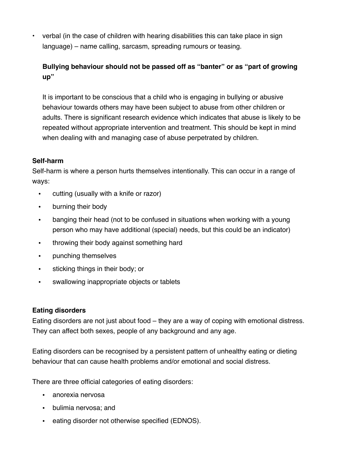• verbal (in the case of children with hearing disabilities this can take place in sign language) – name calling, sarcasm, spreading rumours or teasing.

# **Bullying behaviour should not be passed off as "banter" or as "part of growing up"**

It is important to be conscious that a child who is engaging in bullying or abusive behaviour towards others may have been subject to abuse from other children or adults. There is significant research evidence which indicates that abuse is likely to be repeated without appropriate intervention and treatment. This should be kept in mind when dealing with and managing case of abuse perpetrated by children.

#### **Self-harm**

Self-harm is where a person hurts themselves intentionally. This can occur in a range of ways:

- cutting (usually with a knife or razor)
- burning their body
- banging their head (not to be confused in situations when working with a young person who may have additional (special) needs, but this could be an indicator)
- throwing their body against something hard
- punching themselves
- sticking things in their body; or
- swallowing inappropriate objects or tablets

#### **Eating disorders**

Eating disorders are not just about food – they are a way of coping with emotional distress. They can affect both sexes, people of any background and any age.

Eating disorders can be recognised by a persistent pattern of unhealthy eating or dieting behaviour that can cause health problems and/or emotional and social distress.

There are three official categories of eating disorders:

- anorexia nervosa
- bulimia nervosa; and
- eating disorder not otherwise specified (EDNOS).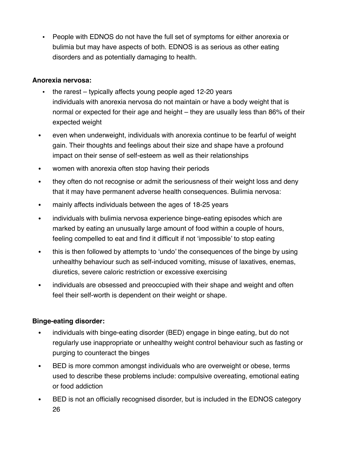• People with EDNOS do not have the full set of symptoms for either anorexia or bulimia but may have aspects of both. EDNOS is as serious as other eating disorders and as potentially damaging to health.

#### **Anorexia nervosa:**

- the rarest typically affects young people aged 12-20 years individuals with anorexia nervosa do not maintain or have a body weight that is normal or expected for their age and height – they are usually less than 86% of their expected weight
- **•** even when underweight, individuals with anorexia continue to be fearful of weight gain. Their thoughts and feelings about their size and shape have a profound impact on their sense of self-esteem as well as their relationships
- **•** women with anorexia often stop having their periods
- **•** they often do not recognise or admit the seriousness of their weight loss and deny that it may have permanent adverse health consequences. Bulimia nervosa:
- **•** mainly affects individuals between the ages of 18-25 years
- **•** individuals with bulimia nervosa experience binge-eating episodes which are marked by eating an unusually large amount of food within a couple of hours, feeling compelled to eat and find it difficult if not 'impossible' to stop eating
- this is then followed by attempts to 'undo' the consequences of the binge by using unhealthy behaviour such as self-induced vomiting, misuse of laxatives, enemas, diuretics, severe caloric restriction or excessive exercising
- **•** individuals are obsessed and preoccupied with their shape and weight and often feel their self-worth is dependent on their weight or shape.

## **Binge-eating disorder:**

- **•** individuals with binge-eating disorder (BED) engage in binge eating, but do not regularly use inappropriate or unhealthy weight control behaviour such as fasting or purging to counteract the binges
- **•** BED is more common amongst individuals who are overweight or obese, terms used to describe these problems include: compulsive overeating, emotional eating or food addiction
- **•** BED is not an officially recognised disorder, but is included in the EDNOS category 26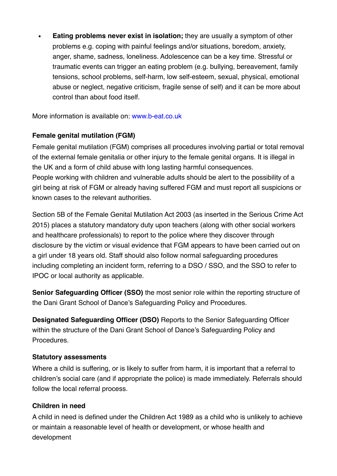**• Eating problems never exist in isolation;** they are usually a symptom of other problems e.g. coping with painful feelings and/or situations, boredom, anxiety, anger, shame, sadness, loneliness. Adolescence can be a key time. Stressful or traumatic events can trigger an eating problem (e.g. bullying, bereavement, family tensions, school problems, self-harm, low self-esteem, sexual, physical, emotional abuse or neglect, negative criticism, fragile sense of self) and it can be more about control than about food itself.

More information is available on: www.b-eat.co.uk

#### **Female genital mutilation (FGM)**

Female genital mutilation (FGM) comprises all procedures involving partial or total removal of the external female genitalia or other injury to the female genital organs. It is illegal in the UK and a form of child abuse with long lasting harmful consequences. People working with children and vulnerable adults should be alert to the possibility of a girl being at risk of FGM or already having suffered FGM and must report all suspicions or known cases to the relevant authorities.

Section 5B of the Female Genital Mutilation Act 2003 (as inserted in the Serious Crime Act 2015) places a statutory mandatory duty upon teachers (along with other social workers and healthcare professionals) to report to the police where they discover through disclosure by the victim or visual evidence that FGM appears to have been carried out on a girl under 18 years old. Staff should also follow normal safeguarding procedures including completing an incident form, referring to a DSO / SSO, and the SSO to refer to IPOC or local authority as applicable.

**Senior Safeguarding Officer (SSO)** the most senior role within the reporting structure of the Dani Grant School of Dance's Safeguarding Policy and Procedures.

**Designated Safeguarding Officer (DSO)** Reports to the Senior Safeguarding Officer within the structure of the Dani Grant School of Dance's Safeguarding Policy and **Procedures** 

#### **Statutory assessments**

Where a child is suffering, or is likely to suffer from harm, it is important that a referral to children's social care (and if appropriate the police) is made immediately. Referrals should follow the local referral process.

#### **Children in need**

A child in need is defined under the Children Act 1989 as a child who is unlikely to achieve or maintain a reasonable level of health or development, or whose health and development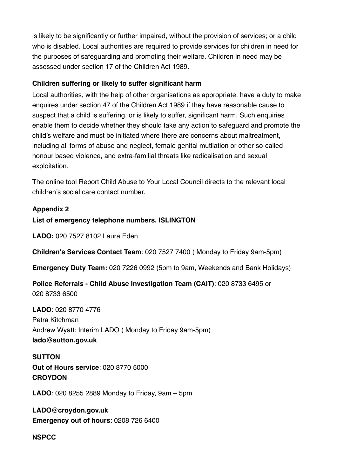is likely to be significantly or further impaired, without the provision of services; or a child who is disabled. Local authorities are required to provide services for children in need for the purposes of safeguarding and promoting their welfare. Children in need may be assessed under section 17 of the Children Act 1989.

#### **Children suffering or likely to suffer significant harm**

Local authorities, with the help of other organisations as appropriate, have a duty to make enquires under section 47 of the Children Act 1989 if they have reasonable cause to suspect that a child is suffering, or is likely to suffer, significant harm. Such enquiries enable them to decide whether they should take any action to safeguard and promote the child's welfare and must be initiated where there are concerns about maltreatment, including all forms of abuse and neglect, female genital mutilation or other so-called honour based violence, and extra-familial threats like radicalisation and sexual exploitation.

The online tool Report Child Abuse to Your Local Council directs to the relevant local children's social care contact number.

## **Appendix 2**

#### **List of emergency telephone numbers. ISLINGTON**

**LADO:** 020 7527 8102 Laura Eden

**Children's Services Contact Team**: 020 7527 7400 ( Monday to Friday 9am-5pm)

**Emergency Duty Team:** 020 7226 0992 (5pm to 9am, Weekends and Bank Holidays)

**Police Referrals - Child Abuse Investigation Team (CAIT)**: 020 8733 6495 or 020 8733 6500

**LADO**: 020 8770 4776 Petra Kitchman Andrew Wyatt: Interim LADO ( Monday to Friday 9am-5pm) **lado@sutton.gov.uk** 

**SUTTON Out of Hours service**: 020 8770 5000 **CROYDON** 

**LADO**: 020 8255 2889 Monday to Friday, 9am – 5pm

**LADO@croydon.gov.uk Emergency out of hours**: 0208 726 6400

**NSPCC**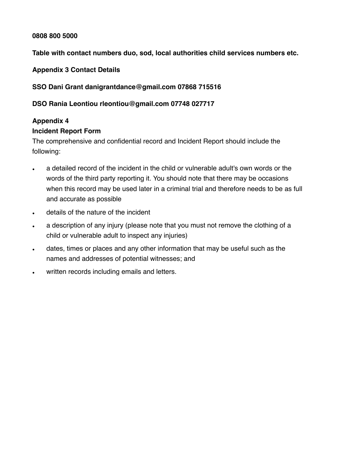#### **0808 800 5000**

#### **Table with contact numbers duo, sod, local authorities child services numbers etc.**

**Appendix 3 Contact Details** 

#### **SSO Dani Grant danigrantdance@gmail.com 07868 715516**

#### **DSO Rania Leontiou rleontiou@gmail.com 07748 027717**

# **Appendix 4**

#### **Incident Report Form**

The comprehensive and confidential record and Incident Report should include the following:

- a detailed record of the incident in the child or vulnerable adult's own words or the words of the third party reporting it. You should note that there may be occasions when this record may be used later in a criminal trial and therefore needs to be as full and accurate as possible
- details of the nature of the incident
- a description of any injury (please note that you must not remove the clothing of a child or vulnerable adult to inspect any injuries)
- dates, times or places and any other information that may be useful such as the names and addresses of potential witnesses; and
- written records including emails and letters.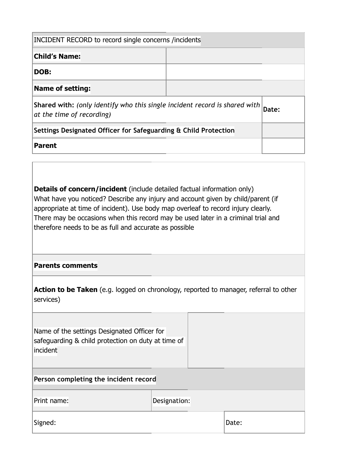| INCIDENT RECORD to record single concerns /incidents                                                    |       |  |  |  |
|---------------------------------------------------------------------------------------------------------|-------|--|--|--|
| <b>Child's Name:</b>                                                                                    |       |  |  |  |
| DOB:                                                                                                    |       |  |  |  |
| <b>Name of setting:</b>                                                                                 |       |  |  |  |
| Shared with: (only identify who this single incident record is shared with<br>at the time of recording) | Date: |  |  |  |
| Settings Designated Officer for Safeguarding & Child Protection                                         |       |  |  |  |
| <b>Parent</b>                                                                                           |       |  |  |  |

**Details of concern/incident** (include detailed factual information only) What have you noticed? Describe any injury and account given by child/parent (if appropriate at time of incident). Use body map overleaf to record injury clearly. There may be occasions when this record may be used later in a criminal trial and therefore needs to be as full and accurate as possible

#### **Parents comments**

| <b>Action to be Taken</b> (e.g. logged on chronology, reported to manager, referral to other |  |  |  |
|----------------------------------------------------------------------------------------------|--|--|--|
| services)                                                                                    |  |  |  |

| Name of the settings Designated Officer for        |              |  |  |  |
|----------------------------------------------------|--------------|--|--|--|
| safeguarding & child protection on duty at time of |              |  |  |  |
| incident                                           |              |  |  |  |
|                                                    |              |  |  |  |
| Person completing the incident record              |              |  |  |  |
| Print name:                                        | Designation: |  |  |  |
|                                                    |              |  |  |  |

Signed:  $\vert$ Date:  $\vert$